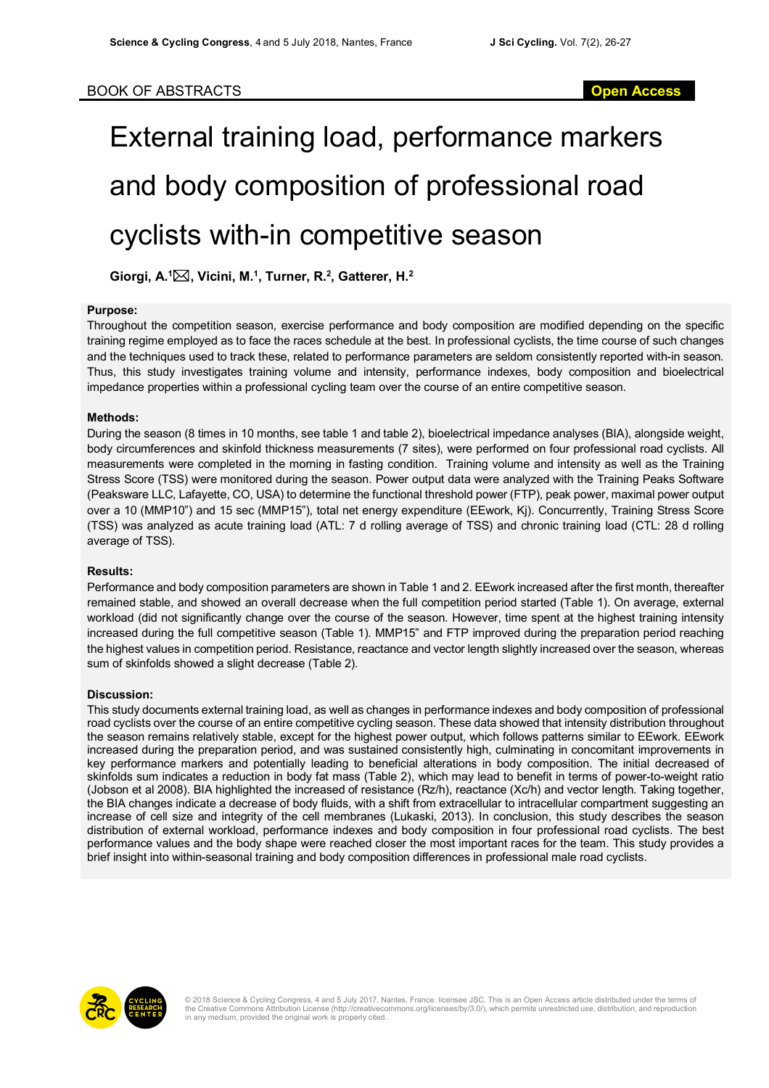# External training load, performance markers and body composition of professional road cyclists with-in competitive season

**Giorgi, A.1** \***, Vicini, M.1, Turner, R.2 , Gatterer, H.2**

#### **Purpose:**

Throughout the competition season, exercise performance and body composition are modified depending on the specific training regime employed as to face the races schedule at the best. In professional cyclists, the time course of such changes and the techniques used to track these, related to performance parameters are seldom consistently reported with-in season. Thus, this study investigates training volume and intensity, performance indexes, body composition and bioelectrical impedance properties within a professional cycling team over the course of an entire competitive season.

### **Methods:**

During the season (8 times in 10 months, see table 1 and table 2), bioelectrical impedance analyses (BIA), alongside weight, body circumferences and skinfold thickness measurements (7 sites), were performed on four professional road cyclists. All measurements were completed in the morning in fasting condition. Training volume and intensity as well as the Training Stress Score (TSS) were monitored during the season. Power output data were analyzed with the Training Peaks Software (Peaksware LLC, Lafayette, CO, USA) to determine the functional threshold power (FTP), peak power, maximal power output over a 10 (MMP10") and 15 sec (MMP15"), total net energy expenditure (EEwork, Kj). Concurrently, Training Stress Score (TSS) was analyzed as acute training load (ATL: 7 d rolling average of TSS) and chronic training load (CTL: 28 d rolling average of TSS).

#### **Results:**

Performance and body composition parameters are shown in Table 1 and 2. EEwork increased after the first month, thereafter remained stable, and showed an overall decrease when the full competition period started (Table 1). On average, external workload (did not significantly change over the course of the season. However, time spent at the highest training intensity increased during the full competitive season (Table 1). MMP15" and FTP improved during the preparation period reaching the highest values in competition period. Resistance, reactance and vector length slightly increased over the season, whereas sum of skinfolds showed a slight decrease (Table 2).

#### **Discussion:**

This study documents external training load, as well as changes in performance indexes and body composition of professional road cyclists over the course of an entire competitive cycling season. These data showed that intensity distribution throughout the season remains relatively stable, except for the highest power output, which follows patterns similar to EEwork. EEwork increased during the preparation period, and was sustained consistently high, culminating in concomitant improvements in key performance markers and potentially leading to beneficial alterations in body composition. The initial decreased of skinfolds sum indicates a reduction in body fat mass (Table 2), which may lead to benefit in terms of power-to-weight ratio (Jobson et al 2008). BIA highlighted the increased of resistance (Rz/h), reactance (Xc/h) and vector length. Taking together, the BIA changes indicate a decrease of body fluids, with a shift from extracellular to intracellular compartment suggesting an increase of cell size and integrity of the cell membranes (Lukaski, 2013). In conclusion, this study describes the season distribution of external workload, performance indexes and body composition in four professional road cyclists. The best performance values and the body shape were reached closer the most important races for the team. This study provides a brief insight into within-seasonal training and body composition differences in professional male road cyclists.